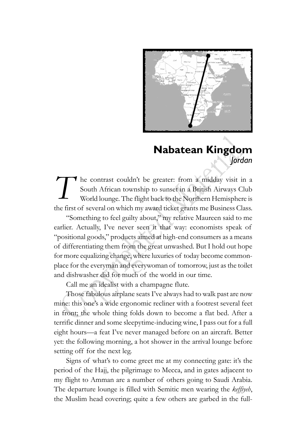

## **Nabatean Kingdom**  *Jordan*

he contrast couldn't be greater: from a midday visit in a South African township to sunset in a British Airways Club World lounge. The flight back to the Northern Hemisphere is the first of several on which my award ticket grants me Business Class. *T*

"Something to feel guilty about," my relative Maureen said to me earlier. Actually, I've never seen it that way: economists speak of "positional goods," products aimed at high-end consumers as a means of differentiating them from the great unwashed. But I hold out hope for more equalizing change, where luxuries of today become commonplace for the everyman and everywoman of tomorrow, just as the toilet and dishwasher did for much of the world in our time.

Call me an idealist with a champagne flute.

Those fabulous airplane seats I've always had to walk past are now mine: this one's a wide ergonomic recliner with a footrest several feet in front; the whole thing folds down to become a flat bed. After a terrific dinner and some sleepytime-inducing wine, I pass out for a full eight hours—a feat I've never managed before on an aircraft. Better yet: the following morning, a hot shower in the arrival lounge before setting off for the next leg.

Signs of what's to come greet me at my connecting gate: it's the period of the Hajj, the pilgrimage to Mecca, and in gates adjacent to my flight to Amman are a number of others going to Saudi Arabia. The departure lounge is filled with Semitic men wearing the *keffiyeh*, the Muslim head covering; quite a few others are garbed in the full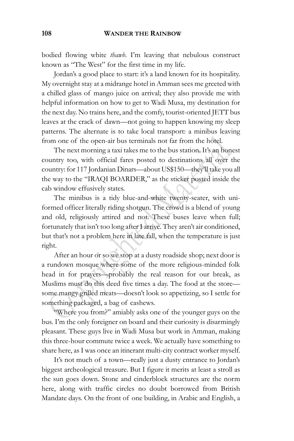bodied flowing white *thawb*. I'm leaving that nebulous construct known as "The West" for the first time in my life.

Jordan's a good place to start: it's a land known for its hospitality. My overnight stay at a midrange hotel in Amman sees me greeted with a chilled glass of mango juice on arrival; they also provide me with helpful information on how to get to Wadi Musa, my destination for the next day. No trains here, and the comfy, tourist-oriented JETT bus leaves at the crack of dawn—not going to happen knowing my sleep patterns. The alternate is to take local transport: a minibus leaving from one of the open-air bus terminals not far from the hotel.

The next morning a taxi takes me to the bus station. It's an honest country too, with official fares posted to destinations all over the country: for 117 Jordanian Dinars—about US\$150—they'll take you all the way to the "IRAQI BOARDER," as the sticker posted inside the cab window effusively states.

The minibus is a tidy blue-and-white twenty-seater, with uniformed officer literally riding shotgun. The crowd is a blend of young and old, religiously attired and not. These buses leave when full; fortunately that isn't too long after I arrive. They aren't air conditioned, but that's not a problem here in late fall, when the temperature is just right.

After an hour or so we stop at a dusty roadside shop; next door is a rundown mosque where some of the more religious-minded folk head in for prayers—probably the real reason for our break, as Muslims must do this deed five times a day. The food at the store some mangy grilled meats—doesn't look so appetizing, so I settle for something packaged, a bag of cashews.

"Where you from?" amiably asks one of the younger guys on the bus. I'm the only foreigner on board and their curiosity is disarmingly pleasant. These guys live in Wadi Musa but work in Amman, making this three-hour commute twice a week. We actually have something to share here, as I was once an itinerant multi-city contract worker myself.

It's not much of a town—really just a dusty entrance to Jordan's biggest archeological treasure. But I figure it merits at least a stroll as the sun goes down. Stone and cinderblock structures are the norm here, along with traffic circles no doubt borrowed from British Mandate days. On the front of one building, in Arabic and English, a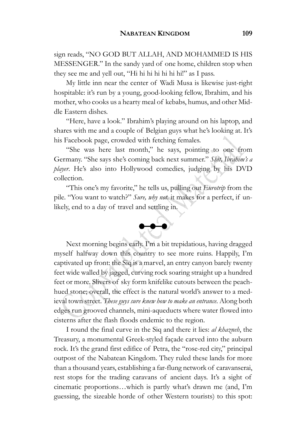sign reads, "NO GOD BUT ALLAH, AND MOHAMMED IS HIS MESSENGER." In the sandy yard of one home, children stop when they see me and yell out, "Hi hi hi hi hi hi hi!" as I pass.

My little inn near the center of Wadi Musa is likewise just-right hospitable: it's run by a young, good-looking fellow, Ibrahim, and his mother, who cooks us a hearty meal of kebabs, humus, and other Middle Eastern dishes.

"Here, have a look." Ibrahim's playing around on his laptop, and shares with me and a couple of Belgian guys what he's looking at. It's his Facebook page, crowded with fetching females.

"She was here last month," he says, pointing to one from Germany. "She says she's coming back next summer." *Shit, Ibrahim's a player*. He's also into Hollywood comedies, judging by his DVD collection.

"This one's my favorite," he tells us, pulling out *Eurotrip* from the pile. "You want to watch?" *Sure, why not*. it makes for a perfect, if unlikely, end to a day of travel and settling in.



Next morning begins early. I'm a bit trepidatious, having dragged myself halfway down this country to see more ruins. Happily, I'm captivated up front: the Siq is a marvel, an entry canyon barely twenty feet wide walled by jagged, curving rock soaring straight up a hundred feet or more. Slivers of sky form knifelike cutouts between the peachhued stone; overall, the effect is the natural world's answer to a medieval town street. *These guys sure knew how to make an entrance*. Along both edges run grooved channels, mini-aqueducts where water flowed into cisterns after the flash floods endemic to the region.

I round the final curve in the Siq and there it lies: *al khazneh*, the Treasury, a monumental Greek-styled façade carved into the auburn rock. It's the grand first edifice of Petra, the "rose-red city," principal outpost of the Nabatean Kingdom. They ruled these lands for more than a thousand years, establishing a far-flung network of caravanserai, rest stops for the trading caravans of ancient days. It's a sight of cinematic proportions…which is partly what's drawn me (and, I'm guessing, the sizeable horde of other Western tourists) to this spot: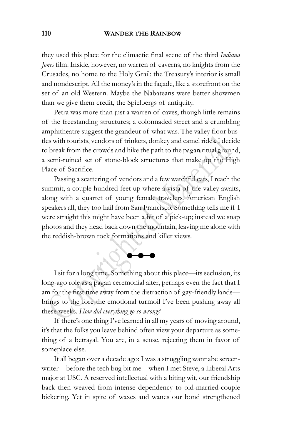they used this place for the climactic final scene of the third *Indiana Jones* film. Inside, however, no warren of caverns, no knights from the Crusades, no home to the Holy Grail: the Treasury's interior is small and nondescript. All the money's in the façade, like a storefront on the set of an old Western. Maybe the Nabateans were better showmen than we give them credit, the Spielbergs of antiquity.

Petra was more than just a warren of caves, though little remains of the freestanding structures; a colonnaded street and a crumbling amphitheatre suggest the grandeur of what was. The valley floor bustles with tourists, vendors of trinkets, donkey and camel rides. I decide to break from the crowds and hike the path to the pagan ritual ground, a semi-ruined set of stone-block structures that make up the High Place of Sacrifice.

Passing a scattering of vendors and a few watchful cats, I reach the summit, a couple hundred feet up where a vista of the valley awaits, along with a quartet of young female travelers. American English speakers all, they too hail from San Francisco. Something tells me if I were straight this might have been a bit of a pick-up; instead we snap photos and they head back down the mountain, leaving me alone with the reddish-brown rock formations and killer views.

I sit for a long time. Something about this place—its seclusion, its long-ago role as a pagan ceremonial alter, perhaps even the fact that I am for the first time away from the distraction of gay-friendly lands brings to the fore the emotional turmoil I've been pushing away all these weeks. *How did everything go so wrong?* 

 $\left\langle \frac{1}{2} \right\rangle$ 

If there's one thing I've learned in all my years of moving around, it's that the folks you leave behind often view your departure as something of a betrayal. You are, in a sense, rejecting them in favor of someplace else.

It all began over a decade ago: I was a struggling wannabe screenwriter—before the tech bug bit me—when I met Steve, a Liberal Arts major at USC. A reserved intellectual with a biting wit, our friendship back then weaved from intense dependency to old-married-couple bickering. Yet in spite of waxes and wanes our bond strengthened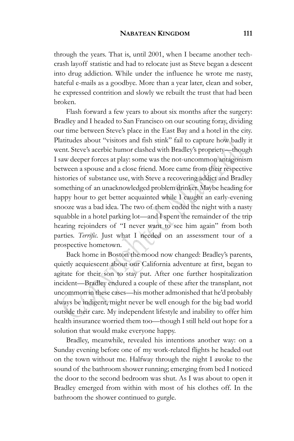through the years. That is, until 2001, when I became another techcrash layoff statistic and had to relocate just as Steve began a descent into drug addiction. While under the influence he wrote me nasty, hateful e-mails as a goodbye. More than a year later, clean and sober, he expressed contrition and slowly we rebuilt the trust that had been broken.

Flash forward a few years to about six months after the surgery: Bradley and I headed to San Francisco on our scouting foray, dividing our time between Steve's place in the East Bay and a hotel in the city. Platitudes about "visitors and fish stink" fail to capture how badly it went. Steve's acerbic humor clashed with Bradley's propriety—though I saw deeper forces at play: some was the not-uncommon antagonism between a spouse and a close friend. More came from their respective histories of substance use, with Steve a recovering addict and Bradley something of an unacknowledged problem drinker. Maybe heading for happy hour to get better acquainted while I caught an early-evening snooze was a bad idea. The two of them ended the night with a nasty squabble in a hotel parking lot—and I spent the remainder of the trip hearing rejoinders of "I never want to see him again" from both parties. *Terrific*. Just what I needed on an assessment tour of a prospective hometown.

Back home in Boston the mood now changed: Bradley's parents, quietly acquiescent about our California adventure at first, began to agitate for their son to stay put. After one further hospitalization incident—Bradley endured a couple of these after the transplant, not uncommon in these cases—his mother admonished that he'd probably always be indigent, might never be well enough for the big bad world outside their care. My independent lifestyle and inability to offer him health insurance worried them too—though I still held out hope for a solution that would make everyone happy.

Bradley, meanwhile, revealed his intentions another way: on a Sunday evening before one of my work-related flights he headed out on the town without me. Halfway through the night I awoke to the sound of the bathroom shower running; emerging from bed I noticed the door to the second bedroom was shut. As I was about to open it Bradley emerged from within with most of his clothes off. In the bathroom the shower continued to gurgle.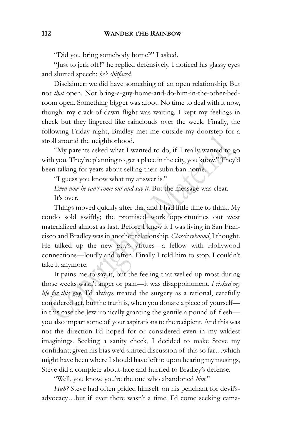"Did you bring somebody home?" I asked.

"Just to jerk off!" he replied defensively. I noticed his glassy eyes and slurred speech: *he's shitfaced*.

Disclaimer: we did have something of an open relationship. But not *that* open. Not bring-a-guy-home-and-do-him-in-the-other-bedroom open. Something bigger was afoot. No time to deal with it now, though: my crack-of-dawn flight was waiting. I kept my feelings in check but they lingered like rainclouds over the week. Finally, the following Friday night, Bradley met me outside my doorstep for a stroll around the neighborhood.

"My parents asked what I wanted to do, if I really wanted to go with you. They're planning to get a place in the city, you know." They'd been talking for years about selling their suburban home.

"I guess you know what my answer is."

*Even now he can't come out and say it*. But the message was clear. It's over.

Things moved quickly after that and I had little time to think. My condo sold swiftly; the promised work opportunities out west materialized almost as fast. Before I knew it I was living in San Francisco and Bradley was in another relationship. *Classic rebound*, I thought. He talked up the new guy's virtues—a fellow with Hollywood connections—loudly and often. Finally I told him to stop. I couldn't take it anymore.

It pains me to say it, but the feeling that welled up most during those weeks wasn't anger or pain—it was disappointment. *I risked my life for this guy*. I'd always treated the surgery as a rational, carefully considered act, but the truth is, when you donate a piece of yourself in this case the Jew ironically granting the gentile a pound of flesh you also impart some of your aspirations to the recipient. And this was not the direction I'd hoped for or considered even in my wildest imaginings. Seeking a sanity check, I decided to make Steve my confidant; given his bias we'd skirted discussion of this so far…which might have been where I should have left it: upon hearing my musings, Steve did a complete about-face and hurried to Bradley's defense.

"Well, you know, you're the one who abandoned *him*."

*Huh?* Steve had often prided himself on his penchant for devil'sadvocacy…but if ever there wasn't a time. I'd come seeking cama-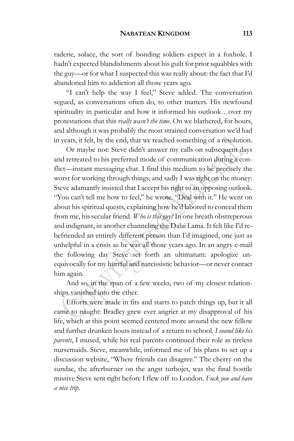raderie, solace, the sort of bonding soldiers expect in a foxhole. I hadn't expected blandishments about his guilt for prior squabbles with the guy—or for what I suspected this was really about: the fact that I'd abandoned him to addiction all those years ago.

"I can't help the way I feel," Steve added. The conversation segued, as conversations often do, to other matters. His newfound spirituality in particular and how it informed his outlook…over my protestations that this *really wasn't the time*. On we blathered, for hours, and although it was probably the most strained conversation we'd had in years, it felt, by the end, that we reached something of a resolution.

Or maybe not: Steve didn't answer my calls on subsequent days and retreated to his preferred mode of communication during a conflict—instant messaging chat. I find this medium to be precisely the worst for working through things, and sadly I was right on the money: Steve adamantly insisted that I accept his right to an opposing outlook. "You can't tell me how to feel," he wrote. "Deal with it." He went on about his spiritual quests, explaining how he'd labored to conceal them from me, his secular friend. *Who is this guy?* In one breath obstreperous and indignant, in another channeling the Dalai Lama. It felt like I'd rebefriended an entirely different person than I'd imagined, one just as unhelpful in a crisis as he was all those years ago. In an angry e-mail the following day Steve set forth an ultimatum: apologize unequivocally for my hurtful and narcissistic behavior—or never contact him again.

And so, in the span of a few weeks, two of my closest relationships vanished into the ether.

Efforts were made in fits and starts to patch things up, but it all came to naught: Bradley grew ever angrier at my disapproval of his life, which at this point seemed centered more around the new fellow and further drunken bouts instead of a return to school. *I sound like his parents*, I mused, while his real parents continued their role as tireless nursemaids. Steve, meanwhile, informed me of his plans to set up a discussion website, "Where friends can disagree." The cherry on the sundae, the afterburner on the angst turbojet, was the final hostile missive Steve sent right before I flew off to London. *Fuck you and have a nice trip*.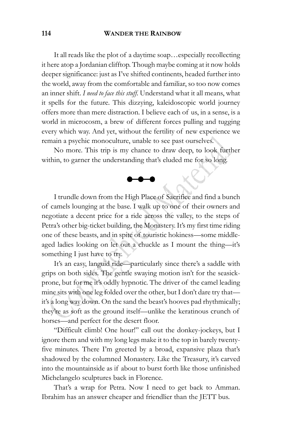## **114 WANDER THE RAINBOW**

It all reads like the plot of a daytime soap…especially recollecting it here atop a Jordanian clifftop. Though maybe coming at it now holds deeper significance: just as I've shifted continents, headed further into the world, away from the comfortable and familiar, so too now comes an inner shift. *I need to face this stuff*. Understand what it all means, what it spells for the future. This dizzying, kaleidoscopic world journey offers more than mere distraction. I believe each of us, in a sense, is a world in microcosm, a brew of different forces pulling and tugging every which way. And yet, without the fertility of new experience we remain a psychic monoculture, unable to see past ourselves.

No more. This trip is my chance to draw deep, to look further within, to garner the understanding that's eluded me for so long.

 $\begin{array}{c} \bullet \hspace{-0.1cm}\bullet \hspace{-0.1cm}\bullet \hspace{-0.1cm}\bullet \hspace{-0.1cm} \end{array}$ 

I trundle down from the High Place of Sacrifice and find a bunch of camels lounging at the base. I walk up to one of their owners and negotiate a decent price for a ride across the valley, to the steps of Petra's other big-ticket building, the Monastery. It's my first time riding one of these beasts, and in spite of touristic hokiness—some middleaged ladies looking on let out a chuckle as I mount the thing—it's something I just have to try.

It's an easy, languid ride—particularly since there's a saddle with grips on both sides. The gentle swaying motion isn't for the seasickprone, but for me it's oddly hypnotic. The driver of the camel leading mine sits with one leg folded over the other, but I don't dare try that it's a long way down. On the sand the beast's hooves pad rhythmically; they're as soft as the ground itself—unlike the keratinous crunch of horses—and perfect for the desert floor.

"Difficult climb! One hour!" call out the donkey-jockeys, but I ignore them and with my long legs make it to the top in barely twentyfive minutes. There I'm greeted by a broad, expansive plaza that's shadowed by the columned Monastery. Like the Treasury, it's carved into the mountainside as if about to burst forth like those unfinished Michelangelo sculptures back in Florence.

That's a wrap for Petra. Now I need to get back to Amman. Ibrahim has an answer cheaper and friendlier than the JETT bus.